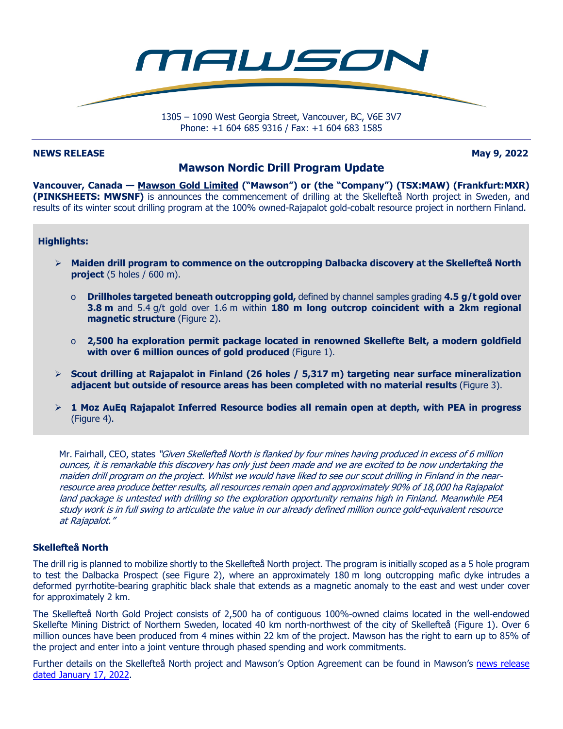

Phone: +1 604 685 9316 / Fax: +1 604 683 1585

#### **NEWS RELEASE May 9, 2022**

# **Mawson Nordic Drill Program Update**

**Vancouver, Canada — Mawson Gold Limited ("Mawson") or (the "Company") (TSX:MAW) (Frankfurt:MXR) (PINKSHEETS: MWSNF)** is announces the commencement of drilling at the Skellefteå North project in Sweden, and results of its winter scout drilling program at the 100% owned-Rajapalot gold-cobalt resource project in northern Finland.

#### **Highlights:**

- **Maiden drill program to commence on the outcropping Dalbacka discovery at the Skellefteå North project** (5 holes / 600 m).
	- o **Drillholes targeted beneath outcropping gold,** defined by channel samples grading **4.5 g/t gold over 3.8 m** and 5.4 g/t gold over 1.6 m within **180 m long outcrop coincident with a 2km regional magnetic structure** (Figure 2).
	- o **2,500 ha exploration permit package located in renowned Skellefte Belt, a modern goldfield with over 6 million ounces of gold produced** (Figure 1).
- **Scout drilling at Rajapalot in Finland (26 holes / 5,317 m) targeting near surface mineralization adjacent but outside of resource areas has been completed with no material results** (Figure 3).
- **1 Moz AuEq Rajapalot Inferred Resource bodies all remain open at depth, with PEA in progress**  (Figure 4).

Mr. Fairhall, CEO, states "Given Skellefteå North is flanked by four mines having produced in excess of 6 million ounces, it is remarkable this discovery has only just been made and we are excited to be now undertaking the maiden drill program on the project. Whilst we would have liked to see our scout drilling in Finland in the nearresource area produce better results, all resources remain open and approximately 90% of 18,000 ha Rajapalot land package is untested with drilling so the exploration opportunity remains high in Finland. Meanwhile PEA study work is in full swing to articulate the value in our already defined million ounce gold-equivalent resource at Rajapalot."

## **Skellefteå North**

The drill rig is planned to mobilize shortly to the Skellefteå North project. The program is initially scoped as a 5 hole program to test the Dalbacka Prospect (see Figure 2), where an approximately 180 m long outcropping mafic dyke intrudes a deformed pyrrhotite-bearing graphitic black shale that extends as a magnetic anomaly to the east and west under cover for approximately 2 km.

The Skellefteå North Gold Project consists of 2,500 ha of contiguous 100%-owned claims located in the well-endowed Skellefte Mining District of Northern Sweden, located 40 km north-northwest of the city of Skellefteå (Figure 1). Over 6 million ounces have been produced from 4 mines within 22 km of the project. Mawson has the right to earn up to 85% of the project and enter into a joint venture through phased spending and work commitments.

Further details on the Skellefteå North project and Mawson's Option Agreement can be found in Mawson's news release dated January 17, 2022.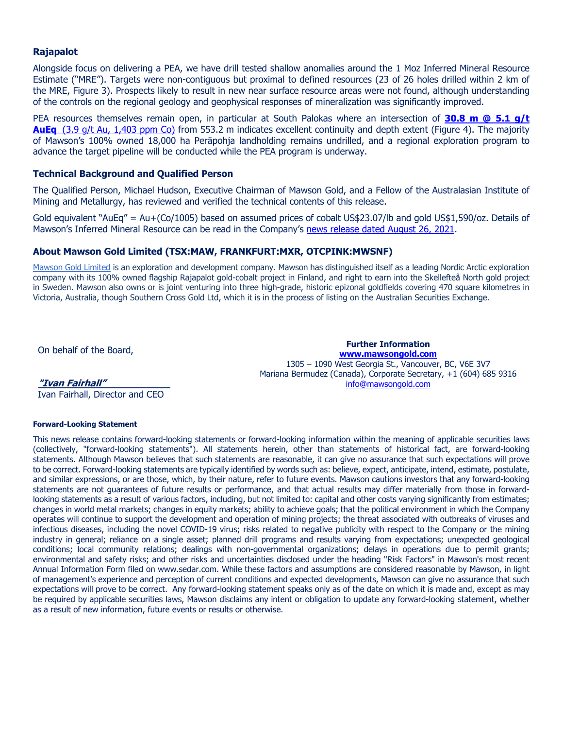# **Rajapalot**

Alongside focus on delivering a PEA, we have drill tested shallow anomalies around the 1 Moz Inferred Mineral Resource Estimate ("MRE"). Targets were non-contiguous but proximal to defined resources (23 of 26 holes drilled within 2 km of the MRE, Figure 3). Prospects likely to result in new near surface resource areas were not found, although understanding of the controls on the regional geology and geophysical responses of mineralization was significantly improved.

PEA resources themselves remain open, in particular at South Palokas where an intersection of **30.8 m @ 5.1 g/t AuEq** (3.9 g/t Au, 1,403 ppm Co) from 553.2 m indicates excellent continuity and depth extent (Figure 4). The majority of Mawson's 100% owned 18,000 ha Peräpohja landholding remains undrilled, and a regional exploration program to advance the target pipeline will be conducted while the PEA program is underway.

### **Technical Background and Qualified Person**

The Qualified Person, Michael Hudson, Executive Chairman of Mawson Gold, and a Fellow of the Australasian Institute of Mining and Metallurgy, has reviewed and verified the technical contents of this release.

Gold equivalent "AuEq" = Au+(Co/1005) based on assumed prices of cobalt US\$23.07/lb and gold US\$1,590/oz. Details of Mawson's Inferred Mineral Resource can be read in the Company's news release dated August 26, 2021.

### **About Mawson Gold Limited (TSX:MAW, FRANKFURT:MXR, OTCPINK:MWSNF)**

Mawson Gold Limited is an exploration and development company. Mawson has distinguished itself as a leading Nordic Arctic exploration company with its 100% owned flagship Rajapalot gold-cobalt project in Finland, and right to earn into the Skellefteå North gold project in Sweden. Mawson also owns or is joint venturing into three high-grade, historic epizonal goldfields covering 470 square kilometres in Victoria, Australia, though Southern Cross Gold Ltd, which it is in the process of listing on the Australian Securities Exchange.

On behalf of the Board,

**Further Information www.mawsongold.com** 1305 – 1090 West Georgia St., Vancouver, BC, V6E 3V7 Mariana Bermudez (Canada), Corporate Secretary, +1 (604) 685 9316 info@mawsongold.com

**"Ivan Fairhall"**

Ivan Fairhall, Director and CEO

#### **Forward-Looking Statement**

This news release contains forward-looking statements or forward-looking information within the meaning of applicable securities laws (collectively, "forward-looking statements"). All statements herein, other than statements of historical fact, are forward-looking statements. Although Mawson believes that such statements are reasonable, it can give no assurance that such expectations will prove to be correct. Forward-looking statements are typically identified by words such as: believe, expect, anticipate, intend, estimate, postulate, and similar expressions, or are those, which, by their nature, refer to future events. Mawson cautions investors that any forward-looking statements are not guarantees of future results or performance, and that actual results may differ materially from those in forwardlooking statements as a result of various factors, including, but not limited to: capital and other costs varying significantly from estimates; changes in world metal markets; changes in equity markets; ability to achieve goals; that the political environment in which the Company operates will continue to support the development and operation of mining projects; the threat associated with outbreaks of viruses and infectious diseases, including the novel COVID-19 virus; risks related to negative publicity with respect to the Company or the mining industry in general; reliance on a single asset; planned drill programs and results varying from expectations; unexpected geological conditions; local community relations; dealings with non-governmental organizations; delays in operations due to permit grants; environmental and safety risks; and other risks and uncertainties disclosed under the heading "Risk Factors" in Mawson's most recent Annual Information Form filed on www.sedar.com. While these factors and assumptions are considered reasonable by Mawson, in light of management's experience and perception of current conditions and expected developments, Mawson can give no assurance that such expectations will prove to be correct. Any forward-looking statement speaks only as of the date on which it is made and, except as may be required by applicable securities laws, Mawson disclaims any intent or obligation to update any forward-looking statement, whether as a result of new information, future events or results or otherwise.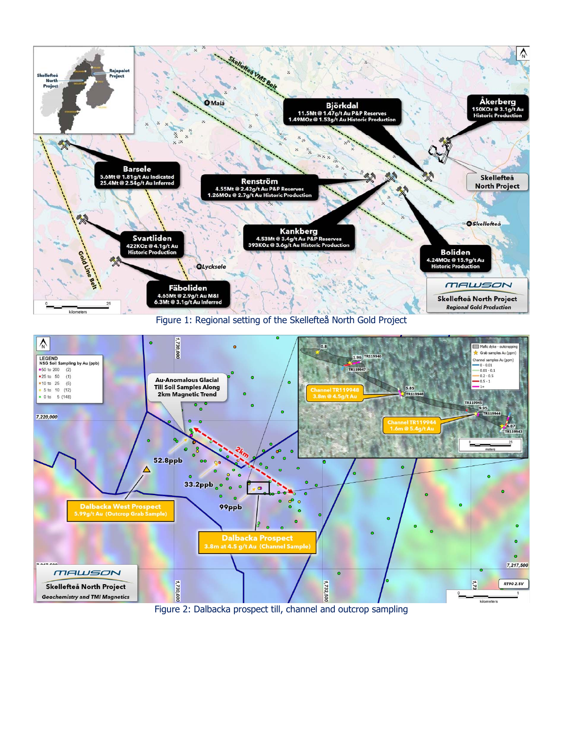



Figure 2: Dalbacka prospect till, channel and outcrop sampling